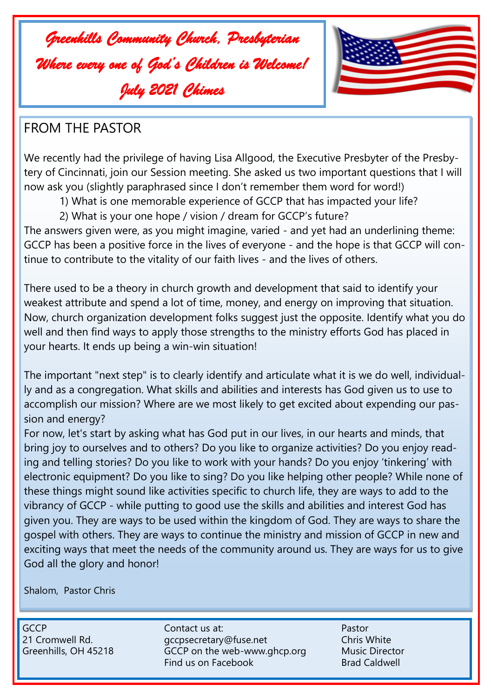



## FROM THE PASTOR

We recently had the privilege of having Lisa Allgood, the Executive Presbyter of the Presbytery of Cincinnati, join our Session meeting. She asked us two important questions that I will now ask you (slightly paraphrased since I don't remember them word for word!)

- 1) What is one memorable experience of GCCP that has impacted your life?
- 2) What is your one hope / vision / dream for GCCP's future?

The answers given were, as you might imagine, varied - and yet had an underlining theme: GCCP has been a positive force in the lives of everyone - and the hope is that GCCP will continue to contribute to the vitality of our faith lives - and the lives of others.

There used to be a theory in church growth and development that said to identify your weakest attribute and spend a lot of time, money, and energy on improving that situation. Now, church organization development folks suggest just the opposite. Identify what you do well and then find ways to apply those strengths to the ministry efforts God has placed in your hearts. It ends up being a win-win situation!

The important "next step" is to clearly identify and articulate what it is we do well, individually and as a congregation. What skills and abilities and interests has God given us to use to accomplish our mission? Where are we most likely to get excited about expending our passion and energy?

For now, let's start by asking what has God put in our lives, in our hearts and minds, that bring joy to ourselves and to others? Do you like to organize activities? Do you enjoy reading and telling stories? Do you like to work with your hands? Do you enjoy 'tinkering' with electronic equipment? Do you like to sing? Do you like helping other people? While none of these things might sound like activities specific to church life, they are ways to add to the vibrancy of GCCP - while putting to good use the skills and abilities and interest God has given you. They are ways to be used within the kingdom of God. They are ways to share the gospel with others. They are ways to continue the ministry and mission of GCCP in new and exciting ways that meet the needs of the community around us. They are ways for us to give God all the glory and honor!

Shalom, Pastor Chris

GCCP Contact us at: Pastor 21 Cromwell Rd. et al. gccpsecretary@fuse.net Chris White Greenhills, OH 45218 GCCP on the web-www.ghcp.org Music Director Find us on Facebook Brad Caldwell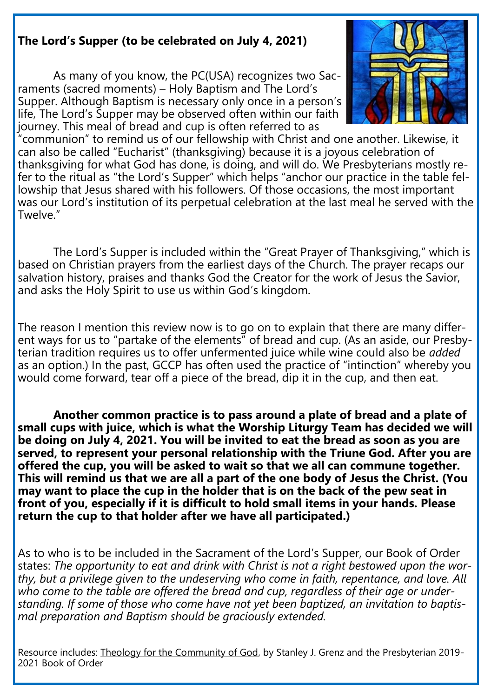## **The Lord's Supper (to be celebrated on July 4, 2021)**

As many of you know, the PC(USA) recognizes two Sacraments (sacred moments) – Holy Baptism and The Lord's Supper. Although Baptism is necessary only once in a person's life, The Lord's Supper may be observed often within our faith journey. This meal of bread and cup is often referred to as



"communion" to remind us of our fellowship with Christ and one another. Likewise, it can also be called "Eucharist" (thanksgiving) because it is a joyous celebration of thanksgiving for what God has done, is doing, and will do. We Presbyterians mostly refer to the ritual as "the Lord's Supper" which helps "anchor our practice in the table fellowship that Jesus shared with his followers. Of those occasions, the most important was our Lord's institution of its perpetual celebration at the last meal he served with the Twelve."

The Lord's Supper is included within the "Great Prayer of Thanksgiving," which is based on Christian prayers from the earliest days of the Church. The prayer recaps our salvation history, praises and thanks God the Creator for the work of Jesus the Savior, and asks the Holy Spirit to use us within God's kingdom.

The reason I mention this review now is to go on to explain that there are many different ways for us to "partake of the elements" of bread and cup. (As an aside, our Presbyterian tradition requires us to offer unfermented juice while wine could also be *added*  as an option.) In the past, GCCP has often used the practice of "intinction" whereby you would come forward, tear off a piece of the bread, dip it in the cup, and then eat.

**Another common practice is to pass around a plate of bread and a plate of small cups with juice, which is what the Worship Liturgy Team has decided we will be doing on July 4, 2021. You will be invited to eat the bread as soon as you are served, to represent your personal relationship with the Triune God. After you are offered the cup, you will be asked to wait so that we all can commune together. This will remind us that we are all a part of the one body of Jesus the Christ. (You may want to place the cup in the holder that is on the back of the pew seat in front of you, especially if it is difficult to hold small items in your hands. Please return the cup to that holder after we have all participated.)**

As to who is to be included in the Sacrament of the Lord's Supper, our Book of Order states: *The opportunity to eat and drink with Christ is not a right bestowed upon the worthy, but a privilege given to the undeserving who come in faith, repentance, and love. All*  who come to the table are offered the bread and cup, regardless of their age or under*standing. If some of those who come have not yet been baptized, an invitation to baptismal preparation and Baptism should be graciously extended.*

Resource includes: Theology for the Community of God, by Stanley J. Grenz and the Presbyterian 2019- 2021 Book of Order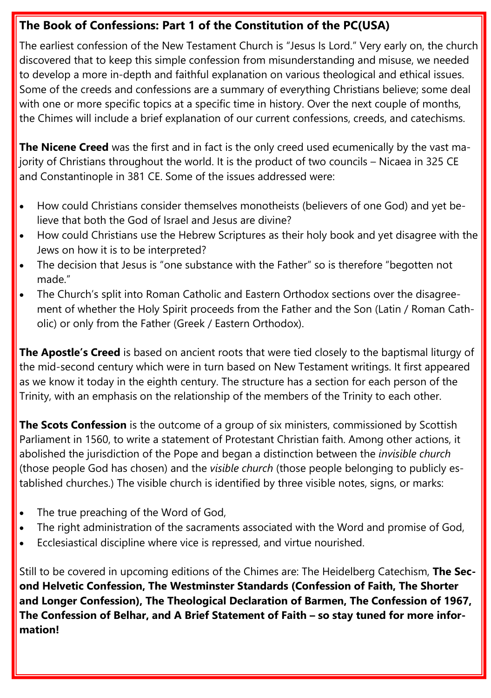## **The Book of Confessions: Part 1 of the Constitution of the PC(USA)**

The earliest confession of the New Testament Church is "Jesus Is Lord." Very early on, the church discovered that to keep this simple confession from misunderstanding and misuse, we needed to develop a more in-depth and faithful explanation on various theological and ethical issues. Some of the creeds and confessions are a summary of everything Christians believe; some deal with one or more specific topics at a specific time in history. Over the next couple of months, the Chimes will include a brief explanation of our current confessions, creeds, and catechisms.

**The Nicene Creed** was the first and in fact is the only creed used ecumenically by the vast majority of Christians throughout the world. It is the product of two councils – Nicaea in 325 CE and Constantinople in 381 CE. Some of the issues addressed were:

- How could Christians consider themselves monotheists (believers of one God) and yet believe that both the God of Israel and Jesus are divine?
- How could Christians use the Hebrew Scriptures as their holy book and yet disagree with the Jews on how it is to be interpreted?
- The decision that Jesus is "one substance with the Father" so is therefore "begotten not made."
- The Church's split into Roman Catholic and Eastern Orthodox sections over the disagreement of whether the Holy Spirit proceeds from the Father and the Son (Latin / Roman Catholic) or only from the Father (Greek / Eastern Orthodox).

**The Apostle's Creed** is based on ancient roots that were tied closely to the baptismal liturgy of the mid-second century which were in turn based on New Testament writings. It first appeared as we know it today in the eighth century. The structure has a section for each person of the Trinity, with an emphasis on the relationship of the members of the Trinity to each other.

**The Scots Confession** is the outcome of a group of six ministers, commissioned by Scottish Parliament in 1560, to write a statement of Protestant Christian faith. Among other actions, it abolished the jurisdiction of the Pope and began a distinction between the *invisible church*  (those people God has chosen) and the *visible church* (those people belonging to publicly established churches.) The visible church is identified by three visible notes, signs, or marks:

- The true preaching of the Word of God,
- The right administration of the sacraments associated with the Word and promise of God,
- Ecclesiastical discipline where vice is repressed, and virtue nourished.

Still to be covered in upcoming editions of the Chimes are: The Heidelberg Catechism, **The Second Helvetic Confession, The Westminster Standards (Confession of Faith, The Shorter and Longer Confession), The Theological Declaration of Barmen, The Confession of 1967, The Confession of Belhar, and A Brief Statement of Faith – so stay tuned for more information!**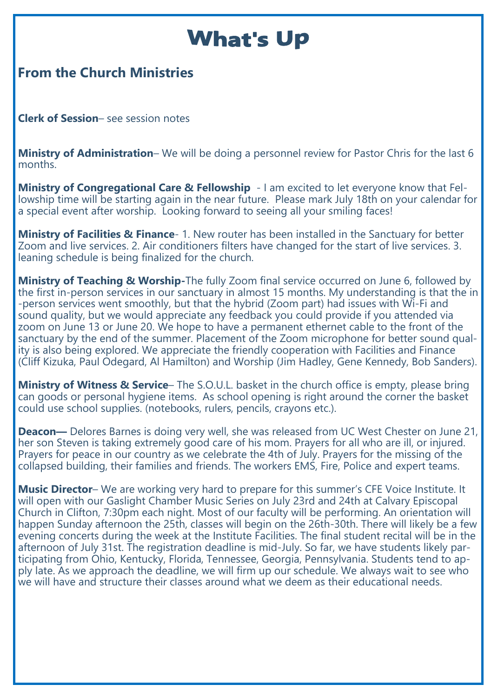## **What's Up**

## **From the Church Ministries**

**Clerk of Session**– see session notes

**Ministry of Administration**– We will be doing a personnel review for Pastor Chris for the last 6 months.

**Ministry of Congregational Care & Fellowship** - I am excited to let everyone know that Fellowship time will be starting again in the near future. Please mark July 18th on your calendar for a special event after worship. Looking forward to seeing all your smiling faces!

**Ministry of Facilities & Finance**- 1. New router has been installed in the Sanctuary for better Zoom and live services. 2. Air conditioners filters have changed for the start of live services. 3. leaning schedule is being finalized for the church.

**Ministry of Teaching & Worship-**The fully Zoom final service occurred on June 6, followed by the first in-person services in our sanctuary in almost 15 months. My understanding is that the in -person services went smoothly, but that the hybrid (Zoom part) had issues with Wi-Fi and sound quality, but we would appreciate any feedback you could provide if you attended via zoom on June 13 or June 20. We hope to have a permanent ethernet cable to the front of the sanctuary by the end of the summer. Placement of the Zoom microphone for better sound quality is also being explored. We appreciate the friendly cooperation with Facilities and Finance (Cliff Kizuka, Paul Odegard, Al Hamilton) and Worship (Jim Hadley, Gene Kennedy, Bob Sanders).

**Ministry of Witness & Service**– The S.O.U.L. basket in the church office is empty, please bring can goods or personal hygiene items. As school opening is right around the corner the basket could use school supplies. (notebooks, rulers, pencils, crayons etc.).

**Deacon—** Delores Barnes is doing very well, she was released from UC West Chester on June 21, her son Steven is taking extremely good care of his mom. Prayers for all who are ill, or injured. Prayers for peace in our country as we celebrate the 4th of July. Prayers for the missing of the collapsed building, their families and friends. The workers EMS, Fire, Police and expert teams.

**Music Director**– We are working very hard to prepare for this summer's CFE Voice Institute. It will open with our Gaslight Chamber Music Series on July 23rd and 24th at Calvary Episcopal Church in Clifton, 7:30pm each night. Most of our faculty will be performing. An orientation will happen Sunday afternoon the 25th, classes will begin on the 26th-30th. There will likely be a few evening concerts during the week at the Institute Facilities. The final student recital will be in the afternoon of July 31st. The registration deadline is mid-July. So far, we have students likely participating from Ohio, Kentucky, Florida, Tennessee, Georgia, Pennsylvania. Students tend to apply late. As we approach the deadline, we will firm up our schedule. We always wait to see who we will have and structure their classes around what we deem as their educational needs.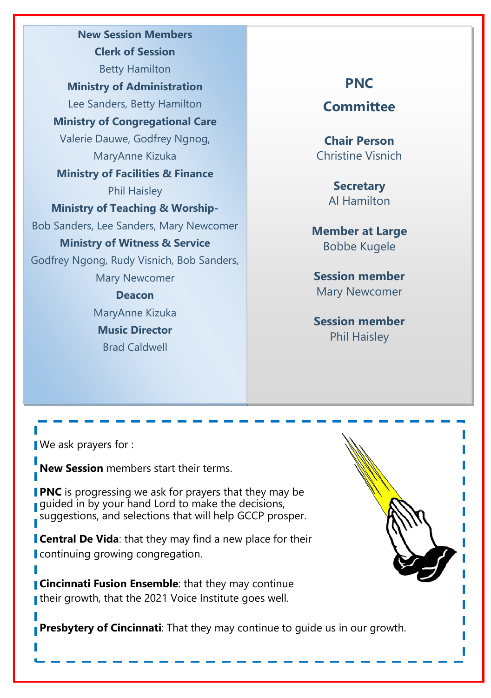**New Session Members Clerk of Session** Betty Hamilton **Ministry of Administration** Lee Sanders, Betty Hamilton **Ministry of Congregational Care** Valerie Dauwe, Godfrey Ngnog, MaryAnne Kizuka **Ministry of Facilities & Finance** Phil Haisley **Ministry of Teaching & Worship-**Bob Sanders, Lee Sanders, Mary Newcomer **Ministry of Witness & Service** Godfrey Ngong, Rudy Visnich, Bob Sanders, Mary Newcomer **Deacon** MaryAnne Kizuka **Music Director** Brad Caldwell

## **PNC**

**Committee**

**Chair Person** Christine Visnich

> **Secretary** Al Hamilton

**Member at Large** Bobbe Kugele

**Session member**  Mary Newcomer

**Session member** Phil Haisley

We ask prayers for :

**New Session** members start their terms.

**PNC** is progressing we ask for prayers that they may be guided in by your hand Lord to make the decisions, suggestions, and selections that will help GCCP prosper.

**Central De Vida**: that they may find a new place for their continuing growing congregation.

**Cincinnati Fusion Ensemble:** that they may continue I their growth, that the 2021 Voice Institute goes well.

**Presbytery of Cincinnati**: That they may continue to guide us in our growth.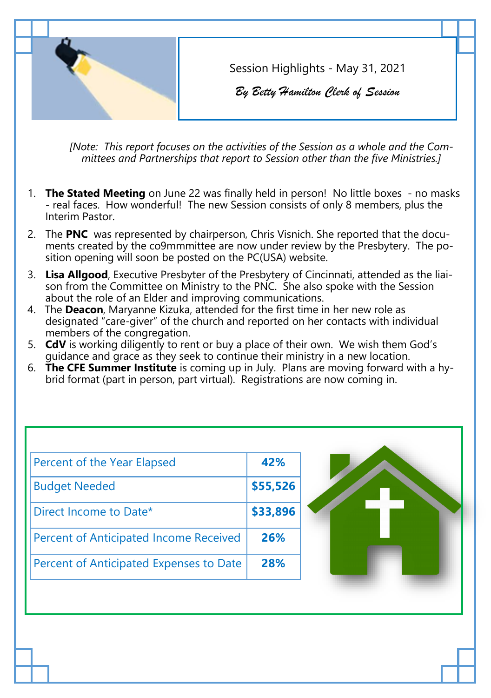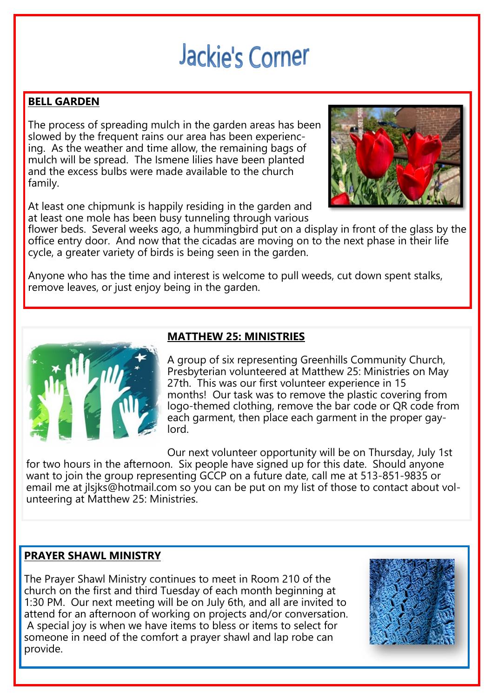# **Jackie's Corner**

## **BELL GARDEN**

The process of spreading mulch in the garden areas has been slowed by the frequent rains our area has been experiencing. As the weather and time allow, the remaining bags of mulch will be spread. The Ismene lilies have been planted and the excess bulbs were made available to the church family.

At least one chipmunk is happily residing in the garden and at least one mole has been busy tunneling through various



flower beds. Several weeks ago, a hummingbird put on a display in front of the glass by the office entry door. And now that the cicadas are moving on to the next phase in their life cycle, a greater variety of birds is being seen in the garden.

Anyone who has the time and interest is welcome to pull weeds, cut down spent stalks, remove leaves, or just enjoy being in the garden.



## **MATTHEW 25: MINISTRIES**

A group of six representing Greenhills Community Church, Presbyterian volunteered at Matthew 25: Ministries on May 27th. This was our first volunteer experience in 15 months! Our task was to remove the plastic covering from logo-themed clothing, remove the bar code or QR code from each garment, then place each garment in the proper gaylord.

Our next volunteer opportunity will be on Thursday, July 1st for two hours in the afternoon. Six people have signed up for this date. Should anyone want to join the group representing GCCP on a future date, call me at 513-851-9835 or email me at jlsjks@hotmail.com so you can be put on my list of those to contact about volunteering at Matthew 25: Ministries.

### **PRAYER SHAWL MINISTRY**

The Prayer Shawl Ministry continues to meet in Room 210 of the church on the first and third Tuesday of each month beginning at 1:30 PM. Our next meeting will be on July 6th, and all are invited to attend for an afternoon of working on projects and/or conversation. A special joy is when we have items to bless or items to select for someone in need of the comfort a prayer shawl and lap robe can provide.

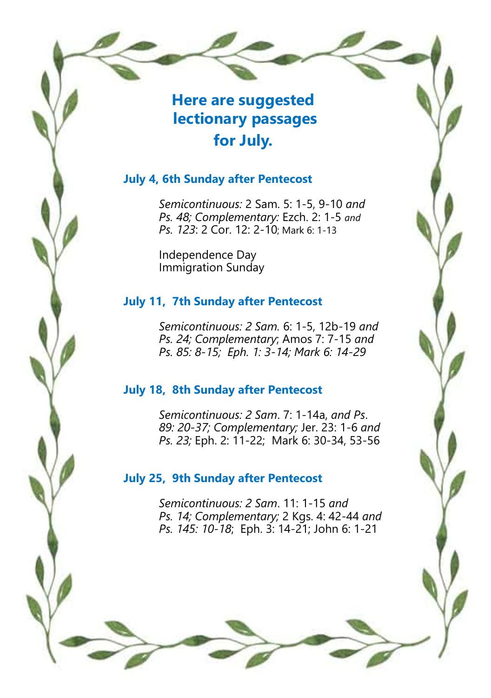## **Here are suggested lectionary passages for July.**

## **July 4, 6th Sunday after Pentecost**

*Semicontinuous:* 2 Sam. 5: 1-5, 9-10 *and Ps. 48; Complementary:* Ezch. 2: 1-5 *and Ps. 123*: 2 Cor. 12: 2-10; Mark 6: 1-13

Independence Day Immigration Sunday

## **July 11, 7th Sunday after Pentecost**

*Semicontinuous: 2 Sam.* 6: 1-5, 12b-19 *and Ps. 24; Complementary*; Amos 7: 7-15 *and Ps. 85: 8-15; Eph. 1: 3-14; Mark 6: 14-29*

## **July 18, 8th Sunday after Pentecost**

*Semicontinuous: 2 Sam*. 7: 1-14a, *and Ps*. *89: 20-37; Complementary;* Jer. 23: 1-6 *and Ps. 23;* Eph. 2: 11-22;Mark 6: 30-34, 53-56

## **July 25, 9th Sunday after Pentecost**

*Semicontinuous: 2 Sam*. 11: 1-15 *and Ps. 14; Complementary;* 2 Kgs. 4: 42-44 *and Ps. 145: 10-18*; Eph. 3: 14-21; John 6: 1-21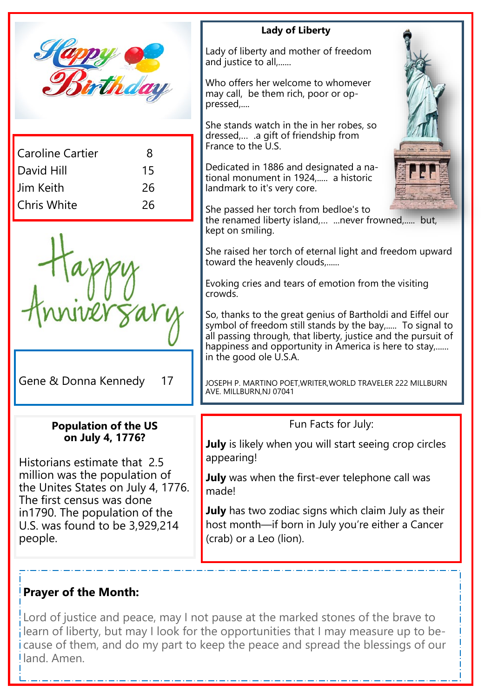

| Caroline Cartier   | 8  |
|--------------------|----|
| David Hill         | 15 |
| l Jim Keith        | 26 |
| <b>Chris White</b> | 26 |
|                    |    |

Gene & Donna Kennedy 17

Historians estimate that 2.5 million was the population of the Unites States on July 4, 1776.

The first census was done in1790. The population of the U.S. was found to be 3,929,214

**Population of the US on July 4, 1776?** 

#### **Lady of Liberty**

Lady of liberty and mother of freedom and justice to all,......

Who offers her welcome to whomever may call, be them rich, poor or oppressed,....

She stands watch in the in her robes, so dressed,… .a gift of friendship from France to the U.S.

Dedicated in 1886 and designated a national monument in 1924,..... a historic landmark to it's very core.

She passed her torch from bedloe's to the renamed liberty island,… ...never frowned,..... but, kept on smiling.

She raised her torch of eternal light and freedom upward toward the heavenly clouds,......

Evoking cries and tears of emotion from the visiting crowds.

So, thanks to the great genius of Bartholdi and Eiffel our symbol of freedom still stands by the bay,..... To signal to all passing through, that liberty, justice and the pursuit of happiness and opportunity in America is here to stay,...... in the good ole U.S.A.

JOSEPH P. MARTINO POET,WRITER,WORLD TRAVELER 222 MILLBURN AVE. MILLBURN,NJ 07041

## Fun Facts for July:

**July** is likely when you will start seeing crop circles appearing!

**July** was when the first-ever telephone call was made!

**July** has two zodiac signs which claim July as their host month—if born in July you're either a Cancer (crab) or a Leo (lion).

## **Prayer of the Month:**

people.

Lord of justice and peace, may I not pause at the marked stones of the brave to learn of liberty, but may I look for the opportunities that I may measure up to because of them, and do my part to keep the peace and spread the blessings of our land. Amen.